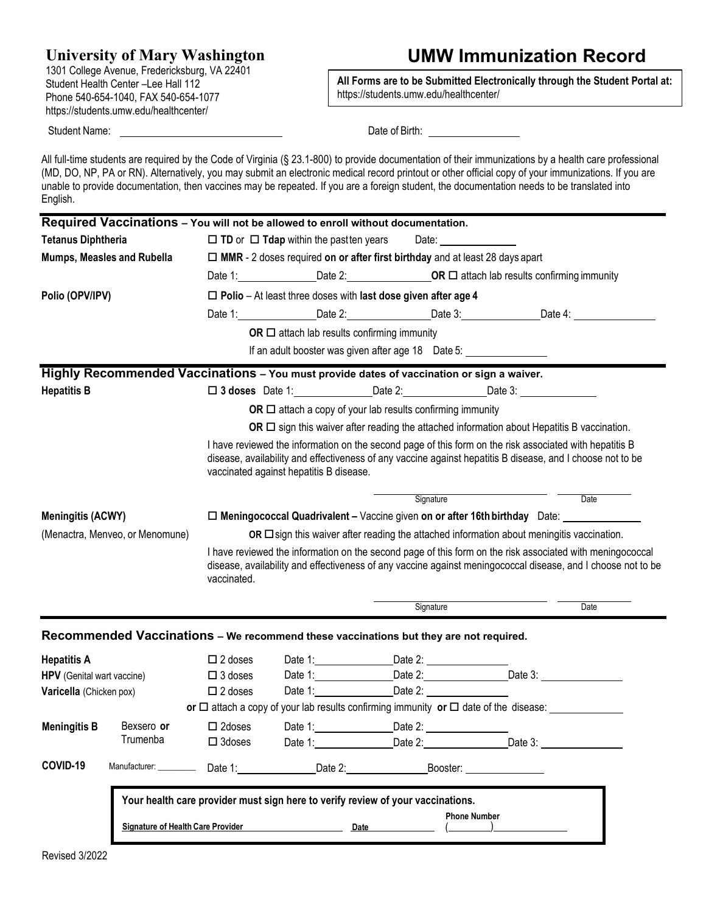### **University of Mary Washington**

1301 College Avenue, Fredericksburg, VA 22401 Student Health Center –Lee Hall 112 Phone 540-654-1040, FAX 540-654-1077 https://students.umw.edu/healthcenter/

## **UMW Immunization Record**

**All Forms are to be Submitted Electronically through the Student Portal at:** https://students.umw.edu/healthcenter/

Student Name: **Date of Birth:** Date of Birth: **Date of Birth:** Date of Birth: **Date of Birth: Date of Birth: Date of Birth: Date of Birth: Date of Birth: Date of Birth: Date of Birth: Date of Birth: Date of** 

All full-time students are required by the Code of Virginia (§ 23.1-800) to provide documentation of their immunizations by a health care professional (MD, DO, NP, PA or RN). Alternatively, you may submit an electronic medical record printout or other official copy of your immunizations. If you are unable to provide documentation, then vaccines may be repeated. If you are a foreign student, the documentation needs to be translated into English.

|                                   | Required Vaccinations - You will not be allowed to enroll without documentation.          |                                                                                                                                                                                                                                                                                                                                                                      |                                                                                  |         |                         |                                                                                                      |      |  |
|-----------------------------------|-------------------------------------------------------------------------------------------|----------------------------------------------------------------------------------------------------------------------------------------------------------------------------------------------------------------------------------------------------------------------------------------------------------------------------------------------------------------------|----------------------------------------------------------------------------------|---------|-------------------------|------------------------------------------------------------------------------------------------------|------|--|
| <b>Tetanus Diphtheria</b>         |                                                                                           | $\Box$ TD or $\Box$ Tdap within the pastten years<br>Date: _____________                                                                                                                                                                                                                                                                                             |                                                                                  |         |                         |                                                                                                      |      |  |
| Mumps, Measles and Rubella        |                                                                                           | $\Box$ MMR - 2 doses required on or after first birthday and at least 28 days apart                                                                                                                                                                                                                                                                                  |                                                                                  |         |                         |                                                                                                      |      |  |
|                                   |                                                                                           |                                                                                                                                                                                                                                                                                                                                                                      |                                                                                  |         |                         | Date 1: Date 2: Date 2: <b>OR □</b> attach lab results confirming immunity                           |      |  |
| Polio (OPV/IPV)                   |                                                                                           | $\Box$ Polio - At least three doses with last dose given after age 4                                                                                                                                                                                                                                                                                                 |                                                                                  |         |                         |                                                                                                      |      |  |
|                                   |                                                                                           |                                                                                                                                                                                                                                                                                                                                                                      |                                                                                  |         |                         | Date 1: ________________Date 2: _________________Date 3: ________________Date 4: ___________________ |      |  |
|                                   |                                                                                           |                                                                                                                                                                                                                                                                                                                                                                      | OR $\Box$ attach lab results confirming immunity                                 |         |                         |                                                                                                      |      |  |
|                                   |                                                                                           |                                                                                                                                                                                                                                                                                                                                                                      | If an adult booster was given after age 18 Date 5: _____________________________ |         |                         |                                                                                                      |      |  |
|                                   | Highly Recommended Vaccinations - You must provide dates of vaccination or sign a waiver. |                                                                                                                                                                                                                                                                                                                                                                      |                                                                                  |         |                         |                                                                                                      |      |  |
| <b>Hepatitis B</b>                |                                                                                           |                                                                                                                                                                                                                                                                                                                                                                      |                                                                                  |         |                         |                                                                                                      |      |  |
|                                   |                                                                                           | OR $\Box$ attach a copy of your lab results confirming immunity                                                                                                                                                                                                                                                                                                      |                                                                                  |         |                         |                                                                                                      |      |  |
|                                   |                                                                                           | OR $\Box$ sign this waiver after reading the attached information about Hepatitis B vaccination.<br>I have reviewed the information on the second page of this form on the risk associated with hepatitis B<br>disease, availability and effectiveness of any vaccine against hepatitis B disease, and I choose not to be<br>vaccinated against hepatitis B disease. |                                                                                  |         |                         |                                                                                                      |      |  |
|                                   |                                                                                           |                                                                                                                                                                                                                                                                                                                                                                      |                                                                                  |         |                         |                                                                                                      |      |  |
|                                   |                                                                                           | Signature<br>Date                                                                                                                                                                                                                                                                                                                                                    |                                                                                  |         |                         |                                                                                                      |      |  |
| <b>Meningitis (ACWY)</b>          |                                                                                           | □ Meningococcal Quadrivalent - Vaccine given on or after 16th birthday Date: __________                                                                                                                                                                                                                                                                              |                                                                                  |         |                         |                                                                                                      |      |  |
| (Menactra, Menveo, or Menomune)   |                                                                                           | OR $\Box$ sign this waiver after reading the attached information about meningitis vaccination.                                                                                                                                                                                                                                                                      |                                                                                  |         |                         |                                                                                                      |      |  |
|                                   |                                                                                           | I have reviewed the information on the second page of this form on the risk associated with meningococcal<br>disease, availability and effectiveness of any vaccine against meningococcal disease, and I choose not to be<br>vaccinated.                                                                                                                             |                                                                                  |         |                         |                                                                                                      |      |  |
|                                   |                                                                                           |                                                                                                                                                                                                                                                                                                                                                                      |                                                                                  |         | Signature               |                                                                                                      | Date |  |
|                                   | Recommended Vaccinations - We recommend these vaccinations but they are not required.     |                                                                                                                                                                                                                                                                                                                                                                      |                                                                                  |         |                         |                                                                                                      |      |  |
| <b>Hepatitis A</b>                |                                                                                           | $\square$ 2 doses                                                                                                                                                                                                                                                                                                                                                    |                                                                                  |         |                         |                                                                                                      |      |  |
| <b>HPV</b> (Genital wart vaccine) |                                                                                           | $\Box$ 3 doses                                                                                                                                                                                                                                                                                                                                                       |                                                                                  |         |                         | Date 1: Date 2: Date 2: Date 3:                                                                      |      |  |
| Varicella (Chicken pox)           |                                                                                           | $\Box$ 2 doses                                                                                                                                                                                                                                                                                                                                                       | Date 1: _________________________________Date 2: _______________________________ |         |                         |                                                                                                      |      |  |
|                                   |                                                                                           |                                                                                                                                                                                                                                                                                                                                                                      |                                                                                  |         |                         | or $\Box$ attach a copy of your lab results confirming immunity or $\Box$ date of the disease:       |      |  |
| <b>Meningitis B</b>               | Bexsero or                                                                                | $\square$ 2doses                                                                                                                                                                                                                                                                                                                                                     | Date 1:                                                                          | Date 2: |                         |                                                                                                      |      |  |
|                                   | Trumenba                                                                                  | $\square$ 3doses                                                                                                                                                                                                                                                                                                                                                     |                                                                                  |         |                         | Date 1: Date 2: Date 2: Date 3:                                                                      |      |  |
| COVID-19                          |                                                                                           |                                                                                                                                                                                                                                                                                                                                                                      | Manufacturer: ____________ Date 1: Date 2:                                       |         | Booster: <b>Example</b> |                                                                                                      |      |  |
|                                   |                                                                                           | Your health care provider must sign here to verify review of your vaccinations.                                                                                                                                                                                                                                                                                      |                                                                                  |         |                         |                                                                                                      |      |  |
|                                   |                                                                                           | <b>Phone Number</b><br><b>Signature of Health Care Provider</b><br>Date <b>Date</b>                                                                                                                                                                                                                                                                                  |                                                                                  |         |                         |                                                                                                      |      |  |
|                                   |                                                                                           |                                                                                                                                                                                                                                                                                                                                                                      |                                                                                  |         |                         |                                                                                                      |      |  |